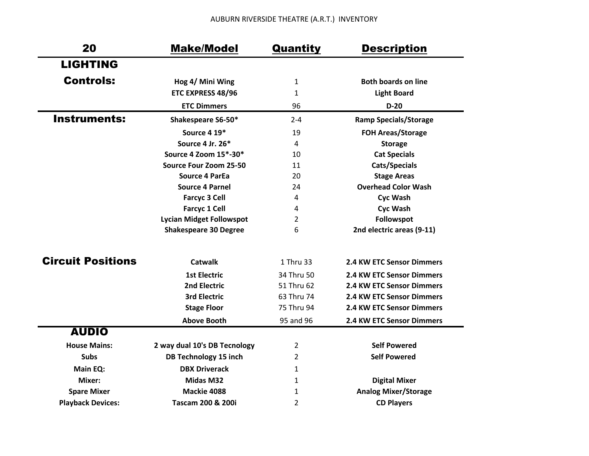| 20                       | <b>Make/Model</b>               | Quantity       | <b>Description</b>           |
|--------------------------|---------------------------------|----------------|------------------------------|
| <b>LIGHTING</b>          |                                 |                |                              |
| <b>Controls:</b>         | Hog 4/ Mini Wing                | $\mathbf{1}$   | <b>Both boards on line</b>   |
|                          | ETC EXPRESS 48/96               | $\mathbf{1}$   | <b>Light Board</b>           |
|                          | <b>ETC Dimmers</b>              | 96             | $D-20$                       |
| <b>Instruments:</b>      | Shakespeare S6-50*              | $2 - 4$        | <b>Ramp Specials/Storage</b> |
|                          | Source 4 19*                    | 19             | <b>FOH Areas/Storage</b>     |
|                          | Source 4 Jr. 26*                | $\overline{a}$ | <b>Storage</b>               |
|                          | Source 4 Zoom 15*-30*           | 10             | <b>Cat Specials</b>          |
|                          | Source Four Zoom 25-50          | 11             | Cats/Specials                |
|                          | <b>Source 4 ParEa</b>           | 20             | <b>Stage Areas</b>           |
|                          | <b>Source 4 Parnel</b>          | 24             | <b>Overhead Color Wash</b>   |
|                          | <b>Farcyc 3 Cell</b>            | 4              | <b>Cyc Wash</b>              |
|                          | <b>Farcyc 1 Cell</b>            | 4              | <b>Cyc Wash</b>              |
|                          | <b>Lycian Midget Followspot</b> | 2              | Followspot                   |
|                          | <b>Shakespeare 30 Degree</b>    | 6              | 2nd electric areas (9-11)    |
| <b>Circuit Positions</b> | <b>Catwalk</b>                  | 1 Thru 33      | 2.4 KW ETC Sensor Dimmers    |
|                          | <b>1st Electric</b>             | 34 Thru 50     | 2.4 KW ETC Sensor Dimmers    |
|                          | 2nd Electric                    | 51 Thru 62     | 2.4 KW ETC Sensor Dimmers    |
|                          | <b>3rd Electric</b>             | 63 Thru 74     | 2.4 KW ETC Sensor Dimmers    |
|                          | <b>Stage Floor</b>              | 75 Thru 94     | 2.4 KW ETC Sensor Dimmers    |
|                          | <b>Above Booth</b>              | 95 and 96      | 2.4 KW ETC Sensor Dimmers    |
| <b>AUDIO</b>             |                                 |                |                              |
| <b>House Mains:</b>      | 2 way dual 10's DB Tecnology    | 2              | <b>Self Powered</b>          |
| <b>Subs</b>              | <b>DB Technology 15 inch</b>    | 2              | <b>Self Powered</b>          |
| Main EQ:                 | <b>DBX Driverack</b>            | $\mathbf{1}$   |                              |
| Mixer:                   | <b>Midas M32</b>                | $\mathbf{1}$   | <b>Digital Mixer</b>         |
| <b>Spare Mixer</b>       | Mackie 4088                     | 1              | <b>Analog Mixer/Storage</b>  |
| <b>Playback Devices:</b> | <b>Tascam 200 &amp; 200i</b>    | 2              | <b>CD Players</b>            |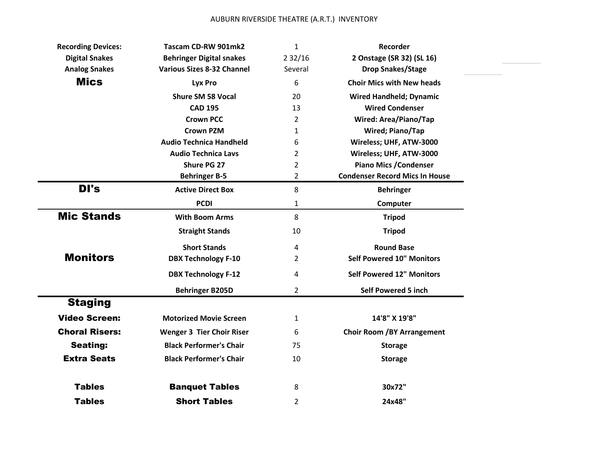| <b>Recording Devices:</b> | Tascam CD-RW 901mk2               | $\mathbf{1}$   | Recorder                              |
|---------------------------|-----------------------------------|----------------|---------------------------------------|
| <b>Digital Snakes</b>     | <b>Behringer Digital snakes</b>   | 232/16         | 2 Onstage (SR 32) (SL 16)             |
| <b>Analog Snakes</b>      | <b>Various Sizes 8-32 Channel</b> | Several        | <b>Drop Snakes/Stage</b>              |
| <b>Mics</b>               | Lyx Pro                           | 6              | <b>Choir Mics with New heads</b>      |
|                           | <b>Shure SM 58 Vocal</b>          | 20             | <b>Wired Handheld; Dynamic</b>        |
|                           | <b>CAD 195</b>                    | 13             | <b>Wired Condenser</b>                |
|                           | <b>Crown PCC</b>                  | $\overline{2}$ | <b>Wired: Area/Piano/Tap</b>          |
|                           | <b>Crown PZM</b>                  | $\mathbf{1}$   | <b>Wired; Piano/Tap</b>               |
|                           | <b>Audio Technica Handheld</b>    | 6              | Wireless; UHF, ATW-3000               |
|                           | <b>Audio Technica Lavs</b>        | $\overline{2}$ | Wireless; UHF, ATW-3000               |
|                           | Shure PG 27                       | 2              | <b>Piano Mics / Condenser</b>         |
|                           | <b>Behringer B-5</b>              | $\overline{2}$ | <b>Condenser Record Mics In House</b> |
| DI's                      | <b>Active Direct Box</b>          | 8              | <b>Behringer</b>                      |
|                           | <b>PCDI</b>                       | $\mathbf{1}$   | Computer                              |
| <b>Mic Stands</b>         | <b>With Boom Arms</b>             | 8              | <b>Tripod</b>                         |
|                           | <b>Straight Stands</b>            | 10             | <b>Tripod</b>                         |
|                           | <b>Short Stands</b>               | 4              | <b>Round Base</b>                     |
| <b>Monitors</b>           | <b>DBX Technology F-10</b>        | $\overline{2}$ | <b>Self Powered 10" Monitors</b>      |
|                           | <b>DBX Technology F-12</b>        | 4              | <b>Self Powered 12" Monitors</b>      |
|                           | <b>Behringer B205D</b>            | $\overline{2}$ | <b>Self Powered 5 inch</b>            |
| <b>Staging</b>            |                                   |                |                                       |
| <b>Video Screen:</b>      | <b>Motorized Movie Screen</b>     | $\mathbf{1}$   | 14'8" X 19'8"                         |
| <b>Choral Risers:</b>     | <b>Wenger 3 Tier Choir Riser</b>  | 6              | <b>Choir Room /BY Arrangement</b>     |
|                           |                                   |                |                                       |
| <b>Seating:</b>           | <b>Black Performer's Chair</b>    | 75             | <b>Storage</b>                        |
| <b>Extra Seats</b>        | <b>Black Performer's Chair</b>    | 10             | <b>Storage</b>                        |
| <b>Tables</b>             | <b>Banquet Tables</b>             | 8              | 30x72"                                |